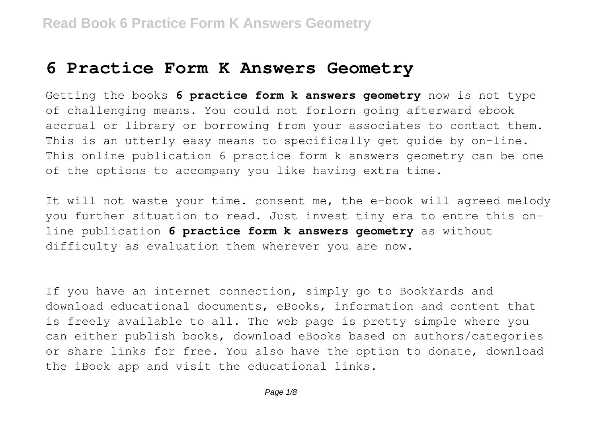# **6 Practice Form K Answers Geometry**

Getting the books **6 practice form k answers geometry** now is not type of challenging means. You could not forlorn going afterward ebook accrual or library or borrowing from your associates to contact them. This is an utterly easy means to specifically get quide by on-line. This online publication 6 practice form k answers geometry can be one of the options to accompany you like having extra time.

It will not waste your time. consent me, the e-book will agreed melody you further situation to read. Just invest tiny era to entre this online publication **6 practice form k answers geometry** as without difficulty as evaluation them wherever you are now.

If you have an internet connection, simply go to BookYards and download educational documents, eBooks, information and content that is freely available to all. The web page is pretty simple where you can either publish books, download eBooks based on authors/categories or share links for free. You also have the option to donate, download the iBook app and visit the educational links.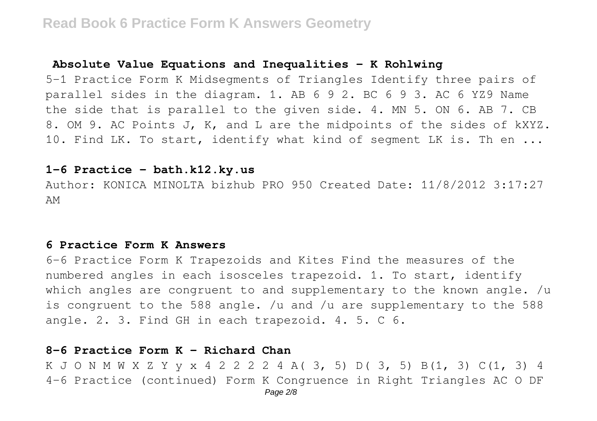#### **Absolute Value Equations and Inequalities - K Rohlwing**

5-1 Practice Form K Midsegments of Triangles Identify three pairs of parallel sides in the diagram. 1. AB 6 9 2. BC 6 9 3. AC 6 YZ9 Name the side that is parallel to the given side. 4. MN 5. ON 6. AB 7. CB 8. OM 9. AC Points J, K, and L are the midpoints of the sides of kXYZ. 10. Find LK. To start, identify what kind of segment LK is. Th en ...

# **1-6 Practice - bath.k12.ky.us**

Author: KONICA MINOLTA bizhub PRO 950 Created Date: 11/8/2012 3:17:27 AM

#### **6 Practice Form K Answers**

6-6 Practice Form K Trapezoids and Kites Find the measures of the numbered angles in each isosceles trapezoid. 1. To start, identify which angles are congruent to and supplementary to the known angle.  $/u$ is congruent to the 588 angle. /u and /u are supplementary to the 588 angle. 2. 3. Find GH in each trapezoid. 4. 5. C 6.

#### **8-6 Practice Form K - Richard Chan**

K J O N M W X Z Y y x 4 2 2 2 2 4 A( 3, 5) D( 3, 5) B(1, 3) C(1, 3) 4 4-6 Practice (continued) Form K Congruence in Right Triangles AC O DF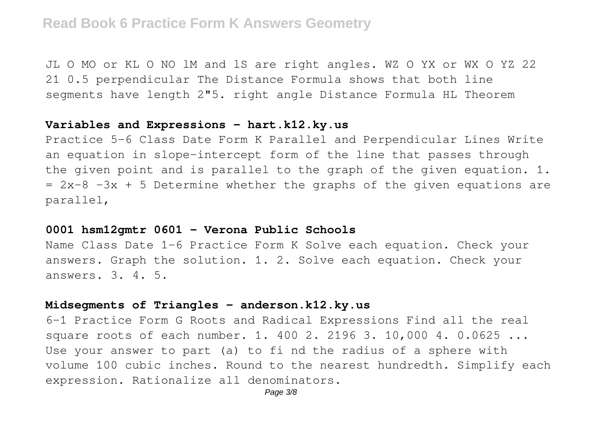JL O MO or KL O NO lM and lS are right angles. WZ O YX or WX O YZ 22 21 0.5 perpendicular The Distance Formula shows that both line segments have length 2"5. right angle Distance Formula HL Theorem

# **Variables and Expressions - hart.k12.ky.us**

Practice 5-6 Class Date Form K Parallel and Perpendicular Lines Write an equation in slope-intercept form of the line that passes through the given point and is parallel to the graph of the given equation. 1.  $= 2x-8$   $-3x + 5$  Determine whether the graphs of the given equations are parallel,

#### **0001 hsm12gmtr 0601 - Verona Public Schools**

Name Class Date 1-6 Practice Form K Solve each equation. Check your answers. Graph the solution. 1. 2. Solve each equation. Check your answers. 3. 4. 5.

# **Midsegments of Triangles - anderson.k12.ky.us**

6-1 Practice Form G Roots and Radical Expressions Find all the real square roots of each number. 1. 400 2. 2196 3. 10,000 4. 0.0625 ... Use your answer to part (a) to fi nd the radius of a sphere with volume 100 cubic inches. Round to the nearest hundredth. Simplify each expression. Rationalize all denominators.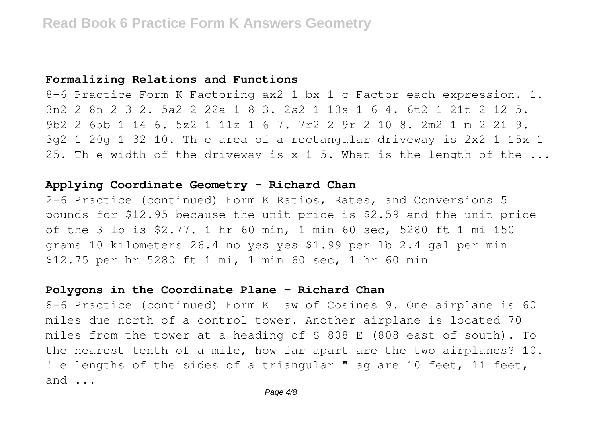# **Formalizing Relations and Functions**

8-6 Practice Form K Factoring ax2 1 bx 1 c Factor each expression. 1. 3n2 2 8n 2 3 2. 5a2 2 22a 1 8 3. 2s2 1 13s 1 6 4. 6t2 1 21t 2 12 5. 9b2 2 65b 1 14 6. 5z2 1 11z 1 6 7. 7r2 2 9r 2 10 8. 2m2 1 m 2 21 9. 3g2 1 20g 1 32 10. Th e area of a rectangular driveway is 2x2 1 15x 1 25. Th e width of the driveway is x 1 5. What is the length of the ...

# **Applying Coordinate Geometry - Richard Chan**

2-6 Practice (continued) Form K Ratios, Rates, and Conversions 5 pounds for \$12.95 because the unit price is \$2.59 and the unit price of the 3 lb is \$2.77. 1 hr 60 min, 1 min 60 sec, 5280 ft 1 mi 150 grams 10 kilometers 26.4 no yes yes \$1.99 per lb 2.4 gal per min \$12.75 per hr 5280 ft 1 mi, 1 min 60 sec, 1 hr 60 min

# **Polygons in the Coordinate Plane - Richard Chan**

8-6 Practice (continued) Form K Law of Cosines 9. One airplane is 60 miles due north of a control tower. Another airplane is located 70 miles from the tower at a heading of S 808 E (808 east of south). To the nearest tenth of a mile, how far apart are the two airplanes? 10. ! e lengths of the sides of a triangular " ag are 10 feet, 11 feet, and ...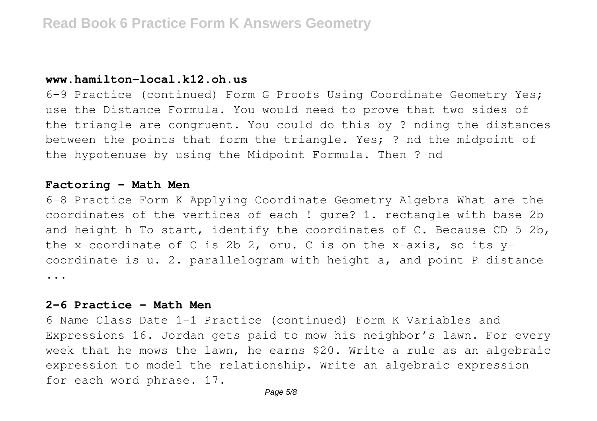# **www.hamilton-local.k12.oh.us**

6-9 Practice (continued) Form G Proofs Using Coordinate Geometry Yes; use the Distance Formula. You would need to prove that two sides of the triangle are congruent. You could do this by ? nding the distances between the points that form the triangle. Yes; ? nd the midpoint of the hypotenuse by using the Midpoint Formula. Then ? nd

#### **Factoring - Math Men**

6-8 Practice Form K Applying Coordinate Geometry Algebra What are the coordinates of the vertices of each ! gure? 1. rectangle with base 2b and height h To start, identify the coordinates of C. Because CD 5 2b, the x-coordinate of C is 2b 2, oru. C is on the x-axis, so its ycoordinate is u. 2. parallelogram with height a, and point P distance ...

# **2-6 Practice - Math Men**

6 Name Class Date 1-1 Practice (continued) Form K Variables and Expressions 16. Jordan gets paid to mow his neighbor's lawn. For every week that he mows the lawn, he earns \$20. Write a rule as an algebraic expression to model the relationship. Write an algebraic expression for each word phrase. 17.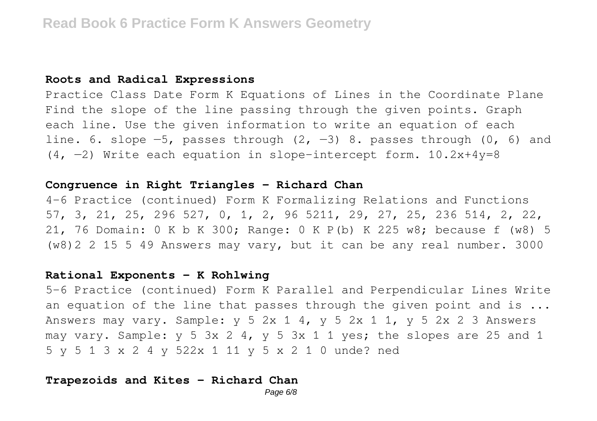#### **Roots and Radical Expressions**

Practice Class Date Form K Equations of Lines in the Coordinate Plane Find the slope of the line passing through the given points. Graph each line. Use the given information to write an equation of each line. 6. slope  $-5$ , passes through  $(2, -3)$  8. passes through  $(0, 6)$  and  $(4, -2)$  Write each equation in slope-intercept form. 10.2x+4y=8

# **Congruence in Right Triangles - Richard Chan**

4-6 Practice (continued) Form K Formalizing Relations and Functions 57, 3, 21, 25, 296 527, 0, 1, 2, 96 5211, 29, 27, 25, 236 514, 2, 22, 21, 76 Domain: 0 K b K 300; Range: 0 K P(b) K 225 w8; because f (w8) 5 (w8)2 2 15 5 49 Answers may vary, but it can be any real number. 3000

#### **Rational Exponents - K Rohlwing**

5-6 Practice (continued) Form K Parallel and Perpendicular Lines Write an equation of the line that passes through the given point and is  $\ldots$ Answers may vary. Sample:  $y$  5 2x 1 4,  $y$  5 2x 1 1,  $y$  5 2x 2 3 Answers may vary. Sample:  $y 5 3x 2 4$ ,  $y 5 3x 1 1 yes$ ; the slopes are 25 and 1 5 y 5 1 3 x 2 4 y 522x 1 11 y 5 x 2 1 0 unde? ned

#### **Trapezoids and Kites - Richard Chan**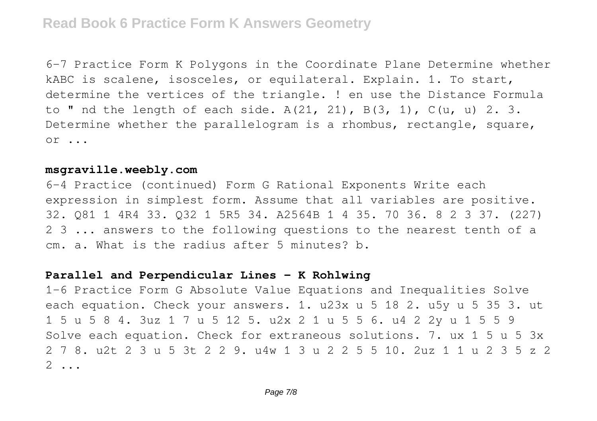6-7 Practice Form K Polygons in the Coordinate Plane Determine whether kABC is scalene, isosceles, or equilateral. Explain. 1. To start, determine the vertices of the triangle. ! en use the Distance Formula to " nd the length of each side.  $A(21, 21)$ ,  $B(3, 1)$ ,  $C(u, u)$  2.3. Determine whether the parallelogram is a rhombus, rectangle, square, or ...

# **msgraville.weebly.com**

6-4 Practice (continued) Form G Rational Exponents Write each expression in simplest form. Assume that all variables are positive. 32. Q81 1 4R4 33. Q32 1 5R5 34. A2564B 1 4 35. 70 36. 8 2 3 37. (227) 2 3 ... answers to the following questions to the nearest tenth of a cm. a. What is the radius after 5 minutes? b.

# **Parallel and Perpendicular Lines - K Rohlwing**

1-6 Practice Form G Absolute Value Equations and Inequalities Solve each equation. Check your answers. 1. u23x u 5 18 2. u5y u 5 35 3. ut 1 5 u 5 8 4. 3uz 1 7 u 5 12 5. u2x 2 1 u 5 5 6. u4 2 2y u 1 5 5 9 Solve each equation. Check for extraneous solutions. 7. ux 1 5 u 5 3x 2 7 8. u2t 2 3 u 5 3t 2 2 9. u4w 1 3 u 2 2 5 5 10. 2uz 1 1 u 2 3 5 z 2 2 ...